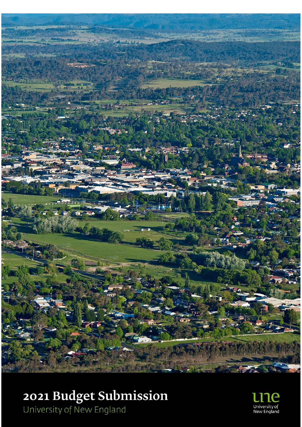

# **2021 Budget Submission**<br>University of New England

University of<br>New England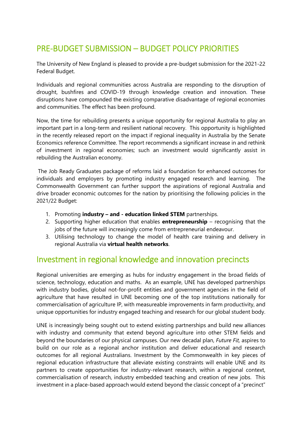## PRE‐BUDGET SUBMISSION – BUDGET POLICY PRIORITIES

The University of New England is pleased to provide a pre-budget submission for the 2021-22 Federal Budget.

Individuals and regional communities across Australia are responding to the disruption of drought, bushfires and COVID-19 through knowledge creation and innovation. These disruptions have compounded the existing comparative disadvantage of regional economies and communities. The effect has been profound.

Now, the time for rebuilding presents a unique opportunity for regional Australia to play an important part in a long-term and resilient national recovery. This opportunity is highlighted in the recently released report on the impact if regional inequality in Australia by the Senate Economics reference Committee. The report recommends a significant increase in and rethink of investment in regional economies; such an investment would significantly assist in rebuilding the Australian economy.

 The Job Ready Graduates package of reforms laid a foundation for enhanced outcomes for individuals and employers by promoting industry engaged research and learning. The Commonwealth Government can further support the aspirations of regional Australia and drive broader economic outcomes for the nation by prioritising the following policies in the 2021/22 Budget:

- 1. Promoting **industry and education linked STEM** partnerships.
- 2. Supporting higher education that enables **entrepreneurship** recognising that the jobs of the future will increasingly come from entrepreneurial endeavour.
- 3. Utilising technology to change the model of health care training and delivery in regional Australia via **virtual health networks**.

#### Investment in regional knowledge and innovation precincts

Regional universities are emerging as hubs for industry engagement in the broad fields of science, technology, education and maths. As an example, UNE has developed partnerships with industry bodies, global not-for-profit entities and government agencies in the field of agriculture that have resulted in UNE becoming one of the top institutions nationally for commercialisation of agriculture IP, with measureable improvements in farm productivity, and unique opportunities for industry engaged teaching and research for our global student body.

UNE is increasingly being sought out to extend existing partnerships and build new alliances with industry and community that extend beyond agriculture into other STEM fields and beyond the boundaries of our physical campuses. Our new decadal plan, *Future Fit,* aspires to build on our role as a regional anchor institution and deliver educational and research outcomes for all regional Australians. Investment by the Commonwealth in key pieces of regional education infrastructure that alleviate existing constraints will enable UNE and its partners to create opportunities for industry-relevant research, within a regional context, commercialisation of research, industry embedded teaching and creation of new jobs. This investment in a place-based approach would extend beyond the classic concept of a "precinct"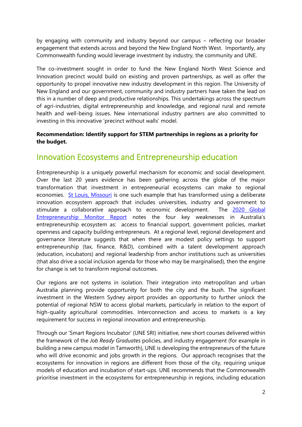by engaging with community and industry beyond our campus – reflecting our broader engagement that extends across and beyond the New England North West. Importantly, any Commonwealth funding would leverage investment by industry, the community and UNE.

The co-investment sought in order to fund the New England North West Science and Innovation precinct would build on existing and proven partnerships, as well as offer the opportunity to propel innovative new industry development in this region. The University of New England and our government, community and industry partners have taken the lead on this in a number of deep and productive relationships. This undertakings across the spectrum of agri-industries, digital entrepreneurship and knowledge, and regional rural and remote health and well-being issues. New international industry partners are also committed to investing in this innovative 'precinct without walls' model.

#### **Recommendation: Identify support for STEM partnerships in regions as a priority for the budget.**

## Innovation Ecosystems and Entrepreneurship education

Entrepreneurship is a uniquely powerful mechanism for economic and social development. Over the last 20 years evidence has been gathering across the globe of the major transformation that investment in entrepreneurial ecosystems can make to regional economies. St Louis, Missouri is one such example that has transformed using a deliberate innovation ecosystem approach that includes universities, industry and government to stimulate a collaborative approach to economic development. The 2020 Global Entrepreneurship Monitor Report notes the four key weaknesses in Australia's entrepreneurship ecosystem as: access to financial support, government policies, market openness and capacity building entrepreneurs. At a regional level, regional development and governance literature suggests that when there are modest policy settings to support entrepreneurship (tax, finance, R&D), combined with a talent development approach (education, incubators) and regional leadership from anchor institutions such as universities (that also drive a social inclusion agenda for those who may be marginalised), then the engine for change is set to transform regional outcomes.

Our regions are not systems in isolation. Their integration into metropolitan and urban Australia planning provide opportunity for both the city and the bush. The significant investment in the Western Sydney airport provides an opportunity to further unlock the potential of regional NSW to access global markets, particularly in relation to the export of high-quality agricultural commodities. Interconnection and access to markets is a key requirement for success in regional innovation and entrepreneurship.

Through our 'Smart Regions Incubator' (UNE SRI) initiative, new short courses delivered within the framework of the *Job Ready Graduates* policies, and industry engagement (for example in building a new campus model in Tamworth), UNE is developing the entrepreneurs of the future who will drive economic and jobs growth in the regions. Our approach recognises that the ecosystems for innovation in regions are different from those of the city, requiring unique models of education and incubation of start-ups. UNE recommends that the Commonwealth prioritise investment in the ecosystems for entrepreneurship in regions, including education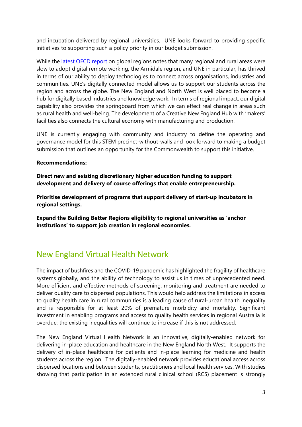and incubation delivered by regional universities. UNE looks forward to providing specific initiatives to supporting such a policy priority in our budget submission.

While the latest OECD report on global regions notes that many regional and rural areas were slow to adopt digital remote working, the Armidale region, and UNE in particular, has thrived in terms of our ability to deploy technologies to connect across organisations, industries and communities. UNE's digitally connected model allows us to support our students across the region and across the globe. The New England and North West is well placed to become a hub for digitally based industries and knowledge work. In terms of regional impact, our digital capability also provides the springboard from which we can effect real change in areas such as rural health and well-being. The development of a Creative New England Hub with 'makers' facilities also connects the cultural economy with manufacturing and production.

UNE is currently engaging with community and industry to define the operating and governance model for this STEM precinct-without-walls and look forward to making a budget submission that outlines an opportunity for the Commonwealth to support this initiative.

#### **Recommendations:**

**Direct new and existing discretionary higher education funding to support development and delivery of course offerings that enable entrepreneurship.** 

**Prioritise development of programs that support delivery of start-up incubators in regional settings.** 

**Expand the Building Better Regions eligibility to regional universities as 'anchor institutions' to support job creation in regional economies.** 

## New England Virtual Health Network

The impact of bushfires and the COVID-19 pandemic has highlighted the fragility of healthcare systems globally, and the ability of technology to assist us in times of unprecedented need. More efficient and effective methods of screening, monitoring and treatment are needed to deliver quality care to dispersed populations. This would help address the limitations in access to quality health care in rural communities is a leading cause of rural-urban health inequality and is responsible for at least 20% of premature morbidity and mortality. Significant investment in enabling programs and access to quality health services in regional Australia is overdue; the existing inequalities will continue to increase if this is not addressed.

The New England Virtual Health Network is an innovative, digitally-enabled network for delivering in-place education and healthcare in the New England North West. It supports the delivery of in-place healthcare for patients and in-place learning for medicine and health students across the region. The digitally-enabled network provides educational access across dispersed locations and between students, practitioners and local health services. With studies showing that participation in an extended rural clinical school (RCS) placement is strongly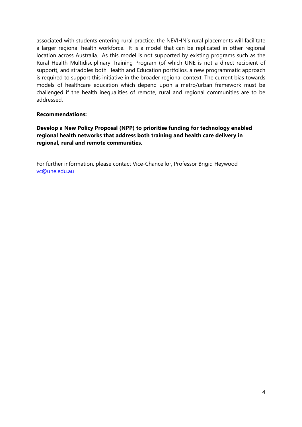associated with students entering rural practice, the NEVIHN's rural placements will facilitate a larger regional health workforce. It is a model that can be replicated in other regional location across Australia. As this model is not supported by existing programs such as the Rural Health Multidisciplinary Training Program (of which UNE is not a direct recipient of support), and straddles both Health and Education portfolios, a new programmatic approach is required to support this initiative in the broader regional context. The current bias towards models of healthcare education which depend upon a metro/urban framework must be challenged if the health inequalities of remote, rural and regional communities are to be addressed.

#### **Recommendations:**

**Develop a New Policy Proposal (NPP) to prioritise funding for technology enabled regional health networks that address both training and health care delivery in regional, rural and remote communities.** 

For further information, please contact Vice-Chancellor, Professor Brigid Heywood vc@une.edu.au